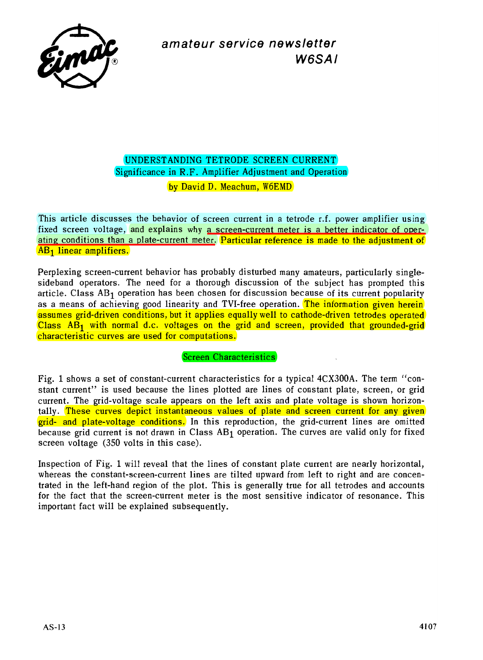

**amateur service newsletter W6SA I** 

UNDERSTANDING TETRODE SCREEN CURRENT Significance in R.F. Amplifier Adjustment and Operation by David D. Meachum, WGEMD

This article discusses the behavior of screen current in a tetrode r.f. power amplifier using fixed screen voltage, and explains why a screen-current meter is a better indicator of operating conditions than a plate-current meter. Particular reference is made to the adjustment of AB1 linear amplifiers.

Perplexing screen-current behavior has probably disturbed many amateurs, particularly singlesideband operators. The need for a thorough discussion of the subject has prompted this article. Class  $AB_1$  operation has been chosen for discussion because of its current popularity as a means of achieving good linearity and TVI-free operation. The information given herein assumes grid-driven conditions, but it applies equally well to cathode-driven tetrodes operated  $Class AB<sub>1</sub>$  with normal d.c. voltages on the grid and screen, provided that grounded-grid characteristic curves are used for computations.

## Screen Characteristics

Fig. 1 shows a set of constant-current characteristics for a typical 4CX300A. The term "constant current" is used because the lines plotted are lines of constant plate, screen, or grid current. The grid-voltage scale appears on the left axis and plate voltage is shown horizontally. These curves depict instantaneous values of plate and screen current for any given grid- and plate-voltage conditions. In this reproduction, the grid-current lines are omitted because grid current is not drawn in Class AB1 operation. The curves are valid only for fixed screen voltage (350 volts in this case).

Inspection of Fig. 1 will reveal that the lines of constant plate current are nearly horizontal, whereas the constant-screen-current lines are tilted upward from left to right and are concentrated in the left-hand region of the plot. This is generally true for all tetrodes and accounts for the fact that the screen-current meter is the most sensitive indicator of resonance. This important fact will be explained subsequently.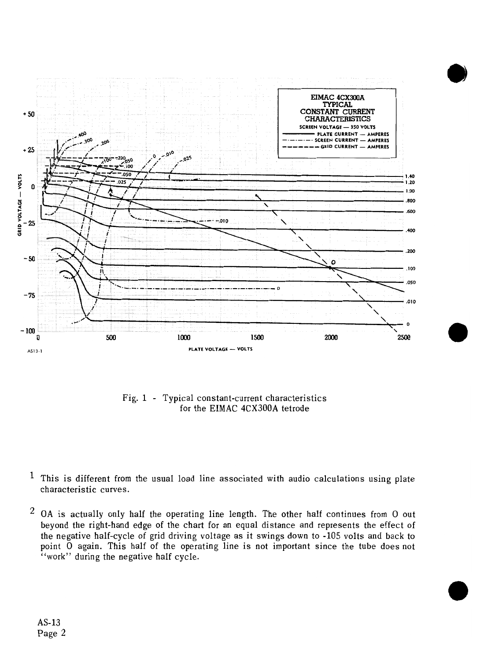

Fig. 1 - Typical constant-current characteristics for the EIMAC 4CX300A tetrode

- This is different from the usual load line associated with audio calculations using plate characteristic curves.
- $2$  OA is actually only half the operating line length. The other half continues from O out beyond the right-hand edge of the chart for an equal distance and represents the effect of the negative half-cycle of grid driving voltage as it swings down to -105 volts and back to point  $\overline{0}$  again. This half of the operating line is not important since the tube does not "work" during the negative half cycle.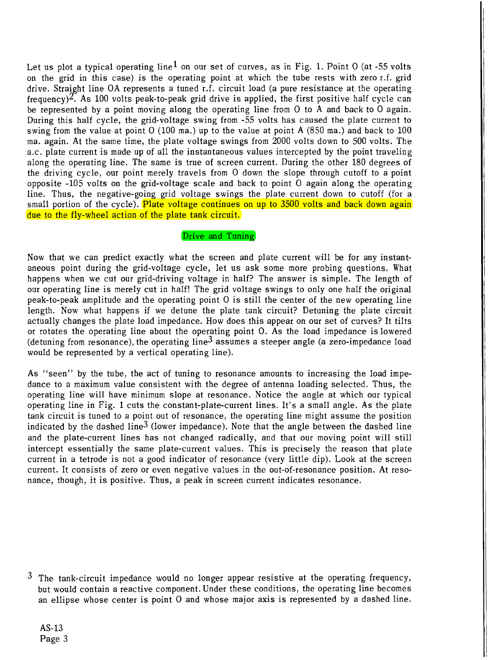Let us plot a typical operating line<sup>1</sup> on our set of curves, as in Fig. 1. Point 0 (at -55 volts on the grid in this case) is the operating point at which the tube rests with zero r.f. grid drive. Straight line OA represents a tuned r.f. circuit load (a pure resistance at the operating frequency) $2$ . As 100 volts peak-to-peak grid drive is applied, the first positive half cycle can be represented by a point moving along the operating line from 0 to A and back to 0 again. During this half cycle, the grid-voltage swing from -55 volts has caused the plate current to swing from the value at point 0 (100 ma.) up to the value at point A (850 ma.) and back to 100 ma. again. At the same time, the plate voltage swings from 2000 volts down to 500 volts. The a.c. plate current is made up of all the instantaneous values intercepted by the point traveling along the operating line. The same is true of screen current. During the other 180 degrees of the driving cycle, our point merely travels from 0 down the slope through cutoff to a point opposite -105 volts on the grid-voltage scale and back to point 0 again along the operating line. Thus, the negative-going grid voltage swings the plate current down to cutoff (for a small portion of the cycle). <mark>Plate voltage continues on up to 3500 volts and back down again</mark> due to the fly-wheel action of the plate tank circuit.

# Drive and Tuning

Now that we can predict exactly what the screen and plate current will be for any instantaneous point during the grid-voltage cycle, let us ask some more probing questions. What happens when we cut our grid-driving voltage in half? The answer is simple. The length of our operating line is merely cut in half! The grid voltage swings to only one half the original peak-to-peak amplitude and the operating point 0 is still the center of the new operating line length. Now what happens if we detune the plate tank circuit? Detuning the plate circuit actually changes the plate load impedance. How does this appear on our set of curves? It tilts or rotates the operating line about the operating point 0. As the load impedance is lowered (detuning from resonance), the operating line<sup>3</sup> assumes a steeper angle (a zero-impedance load would be represented by a vertical operating line).

As "seen" by the tube, the act of tuning to resonance amounts to increasing the load impedance to a maximum value consistent with the degree of antenna loading selected. Thus, the operating line will have minimum slope at resonance. Notice the angle at which our typical operating line in Fig. 1 cuts the constant-plate-current lines. It's a small angle. As the plate tank circuit is tuned to a point out of resonance, the operating line might assume the position indicated by the dashed line<sup>3</sup> (lower impedance). Note that the angle between the dashed line and the plate-current lines has not changed radically, and that our moving point will still intercept essentially the same plate-current values. This is precisely the reason that plate current in a tetrode is not a good indicator of resonance (very little dip). Look at the screen current. It consists of zero or even negative values in the out-of-resonance position. At resonance, though, it is positive. Thus, a peak in screen current indicates resonance.

<sup>3</sup> The tank-circuit impedance would no longer appear resistive at the operating frequency, but would contain a reactive component. Under these conditions, the operating line becomes an ellipse whose center is point 0 and whose major axis is represented by a dashed line.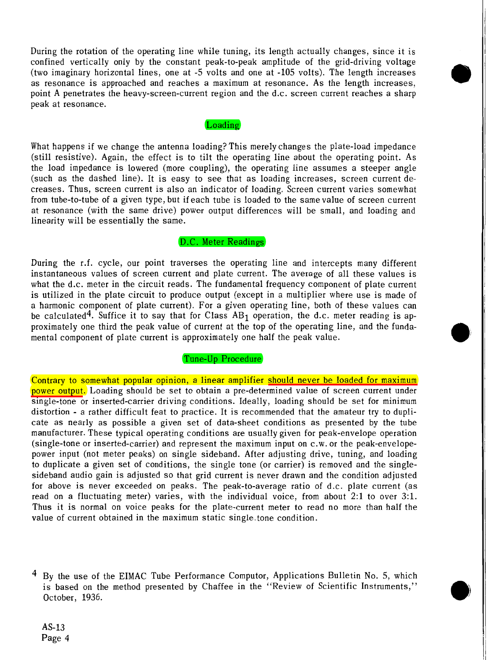During the rotation of the operating line while tuning, its length actually changes, since it is confined vertically only by the constant peak-to-peak amplitude of the grid-driving voltage (two imaginary horizontal lines, one at -5 volts and one at -105 volts). The length increases as resonance is approached and reaches a maximum at resonance. As the length increases, point A penetrates the heavy-screen-current region and the d.c. screen current reaches a sharp peak at resonance.

### Loading

What happens if we change the antenna loading? This merely changes the plate-load impedance (still resistive). Again, the effect is to tilt the operating line about the operating point. **As**  the load impedance is lowered (more coupling), the operating line assumes a steeper angle (such as the dashed line). It is easy to see that as loading increases, screen current decreases. Thus, screen current is also an indicator of loading. Screen current varies somewhat from tube-to-tube of a given type, but if each tube is loaded to the same value of screen current at resonance (with the same drive) power output differences will be small, and loading and linearity will be essentially the same.

#### D.C. Meter Readings

During the r.f. cycle, our point traverses the operating line and intercepts many different instantaneous values of screen current and plate current. The average of all these values is what the d.c. meter in the circuit reads. The fundamental frequency component of plate current is utilized in the plate circuit to produce output (except in a multiplier where use is made of a harmonic component of plate current). For a given operating line, both of these values can be calculated<sup>4</sup>. Suffice it to say that for Class  $AB_1$  operation, the d.c. meter reading is approximately one third the peak value of current at the top of the operating line, and the fundamental component of plate current is approximately one half the peak value.

## Tune-Up Procedure

Contrary to somewhat popular opinion, a linear amplifier should never be loaded for maximum power output. Loading should be set to obtain a pre-determined value of screen current under single-tone or inserted-carrier driving conditions. Ideally, loading should be set for minimum distortion - a rather difficult feat to practice. It is recommended that the amateur try to duplicate as nearly as possible a given set of data-sheet conditions as presented by the tube manufacturer. These typical operating conditions are usually given for peak-envelope operation (single-tone or inserted-carrier) and represent the maximum input on c.w. or the peak-envelopepower input (not meter peaks) on single sideband. After adjusting drive, tuning, and loading to duplicate a given set of conditions, the single tone (or carrier) is removed and the singlesideband audio gain is adjusted so that grid current is never drawn and the condition adjusted for above is never exceeded on peaks. The peak-to-average ratio of d.c. plate current (as read on a fluctuating meter) varies, with the individual voice, from about 2:l to over 3:l. Thus it is normal on voice peaks for the plate-current meter to read no more than half the value of current obtained in the maximum static single.tone condition.

By the use of the EIMAC Tube Performance Computor, Applications Bulletin No. 5, which is based on the method presented by Chaffee in the "Review of Scientific Instruments," October, 1936.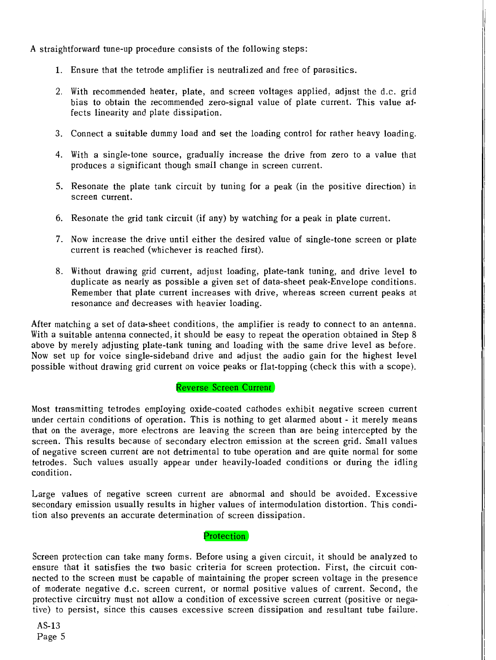A straightforward tune-up procedure consists of the following steps:

- 1. Ensure that the tetrode amplifier is neutralized and free of parasitics.
- 2. With recommended heater, plate, and screen voltages applied, adjust the d.c. grid bias to obtain the recommended zero-signal value of plate current. This value affects linearity and plate dissipation.
- 3. Connect a suitable dummy load and set the loading control for rather heavy loading.
- 4. With a single-tone source, gradually increase the drive from zero to a value that produces a significant though small change in screen current.
- 5. Resonate the plate tank circuit by tuning for a peak (in the positive direction) in screen current.
- 6. Resonate the grid tank circuit (if any) by watching for a peak in plate current.
- 7. Now increase the drive until either the desired value of single-tone screen or plate current is reached (whichever is reached first).
- 8. Without drawing grid current, adjust loading, plate-tank tuning, and drive level to duplicate as nearly as possible a given set of data-sheet peak-Envelope conditions. Remember that plate current increases with drive, whereas screen current peaks at resonance and decreases with heavier loading.

After matching a set of data-sheet conditions, the amplifier is ready to connect to an antenna. With a suitable antenna connected, it should be easy to repeat the operation obtained in Step 8 above by merely adjusting plate-tank tuning and loading with the same drive level as before. Now set up for voice single-sideband drive and adjust the audio gain for the highest level possible without drawing grid current on voice peaks or flat-topping (check this with a scope).

# Reverse Screen Current

Most transmitting tetrodes employing oxide-coated cathodes exhibit negative screen current under certain conditions of operation. This is nothing to get alarmed about - it merely means that on the average, more electrons are leaving the screen than are being intercepted by the screen. This results because of secondary electron emission at the screen grid. Small values of negative screen current are not detrimental to tube operation and are quite normal for some tetrodes. Such values usually appear under heavily-loaded conditions or during the idling condition.

Large values of negative screen current are abnormal and should be avoided. Excessive secondary emission usually results in higher values of intermodulation distortion. This condition also prevents an accurate determination of screen dissipation.

## **Protection**

Screen protection can take many forms. Before using a given circuit, it should be analyzed to ensure that it satisfies the two basic criteria for screen protection. First, the circuit connected to the screen must be capable of maintaining the proper screen voltage in the presence of moderate negative d.c. screen current, or normal positive values of current. Second, the protective circuitry must not allow a condition of excessive screen current (positive or negative) to persist, since this causes excessive screen dissipation and resultant tube failure.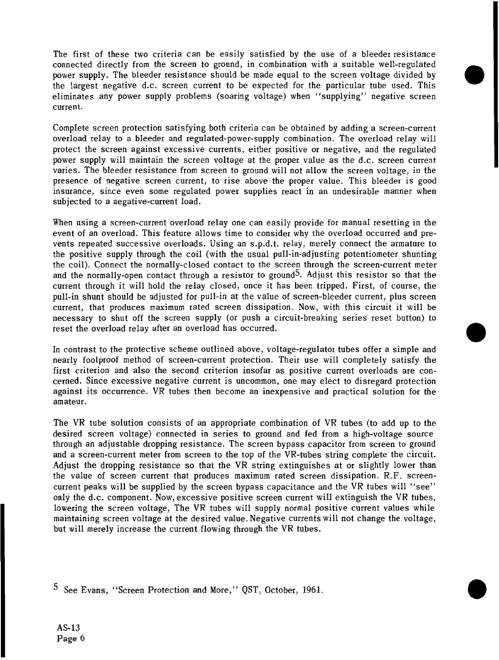The first of these two criteria can be easily satisfied by the use of a bleeder resistance connected directly from the screen to ground, in combination with a suitable well-regulated power supply. The bleeder resistance should be made equal to the screen voltage divided by the largest negative d.c. screen current to be expected for the particular tube used. This eliminates any power supply problems (soaring voltage) when "supplying" negative screen current.

Complete screen protection satisfying both criteria can be obtained by adding a screen-current overload relay to a bleeder and regulated-power-supply combination. The overload relay will protect the screen against excessive currents, either positive or negative, and the regulated power supply will maintain the screen voltage at the proper value as the d.c. screen current varies. The bleeder resistance from screen to ground will not allow the screen voltage, in the presence of negative screen current, to rise above the proper value. This bleeder is good insurance, since even some regulated power supplies react in an undesirable manner when subjected to a negative-current load.

When using a screen-current overload relay one can easily provide for manual resetting in the event of an overload. This feature allows time to consider why the overload occurred and prevents repeated successive overloads. Using an s.p.d.t. relay, merely connect the armature to the positive supply through the coil (with the usual pull-in-adjusting potentiometer shunting the coil). Connect the normally-closed contact to the screen through the screen-current meter and the normally-open contact through a resistor to ground<sup>5</sup>. Adjust this resistor so that the current through it will hold the relay closed, once it has been tripped. First, of course, the pull-in shunt should be adjusted for pull-in at the value of screen-bleeder current, plus screen current, that produces maximum rated screen dissipation. Now, with this circuit it will be necessary to shut off the screen supply (or push a circuit-breaking series reset button) to reset the overload relay after an overload has occurred.

In contrast to the protective scheme outlined above, voltage-regulator tubes offer a simple and nearly foolproof method of screen-current protection. Their use will completely satisfy the first criterion and also the second criterion insofar as positive current overloads are concerned. Since excessive negative current is uncommon, one may elect to disregard protection against its occurrence. VR tubes then become an inexpensive and practical solution for the amateur.

The VR tube solution consists of an appropriate combination of VR tubes (to add up to the desired screen voltage) connected in series to ground and fed from a high-voltage source through an adjustable dropping resistance. The screen bypass capacitor from screen to ground and a screen-current meter from screen to the top of the VR-tubes string complete the circuit. Adjust the dropping resistance so that the VR string extinguishes at or slightly lower than the value of screen current that produces maximum rated screen dissipation. R.F. screencurrent peaks will be supplied by the screen bypass capacitance and the VR tubes will "see" only the d.c. component. Now, excessive positive screen current will extinguish the VR tubes, lowering the screen voltage, The VR tubes will supply normal positive current values while maintaining screen voltage at the desired value. Negative currents will not change the voltage, but will merely increase the current flowing through the VR tubes.

See Evans, "Screen Protection and More," QST, October, **1961.**